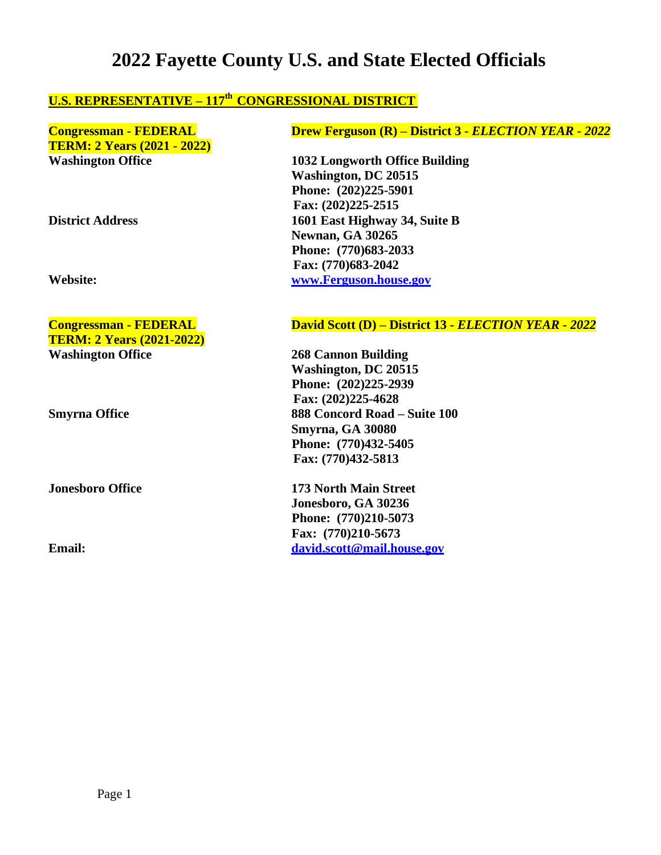# **2022 Fayette County U.S. and State Elected Officials**

# **U.S. REPRESENTATIVE – 117th CONGRESSIONAL DISTRICT**

| <b>Congressman - FEDERAL</b>       |
|------------------------------------|
| <b>TERM: 2 Years (2021 - 2022)</b> |
| Washington Office                  |

**TERM: 2 Years (2021-2022) Washington Office 268 Cannon Building**

### **Congressman - FEDERAL Drew Ferguson (R) – District 3 -** *ELECTION YEAR - 2022*

**Washington Office 1032 Longworth Office Building Washington, DC 20515 Phone: (202)225-5901 Fax: (202)225-2515 District Address 1601 East Highway 34, Suite B Newnan, GA 30265 Phone: (770)683-2033 Fax: (770)683-2042 Website: [www.Ferguson.house.gov](http://www.ferguson.house.gov/)**

### **Congressman - FEDERAL David Scott (D) – District 13 -** *ELECTION YEAR - 2022*

**Washington, DC 20515 Phone: (202)225-2939 Fax: (202)225-4628 Smyrna Office 888 Concord Road – Suite 100 Smyrna, GA 30080 Phone: (770)432-5405 Fax: (770)432-5813**

**Jonesboro Office 173 North Main Street Jonesboro, GA 30236 Phone: (770)210-5073 Fax: (770)210-5673 Email: [david.scott@mail.house.gov](mailto:david.scott@mail.house.gov)**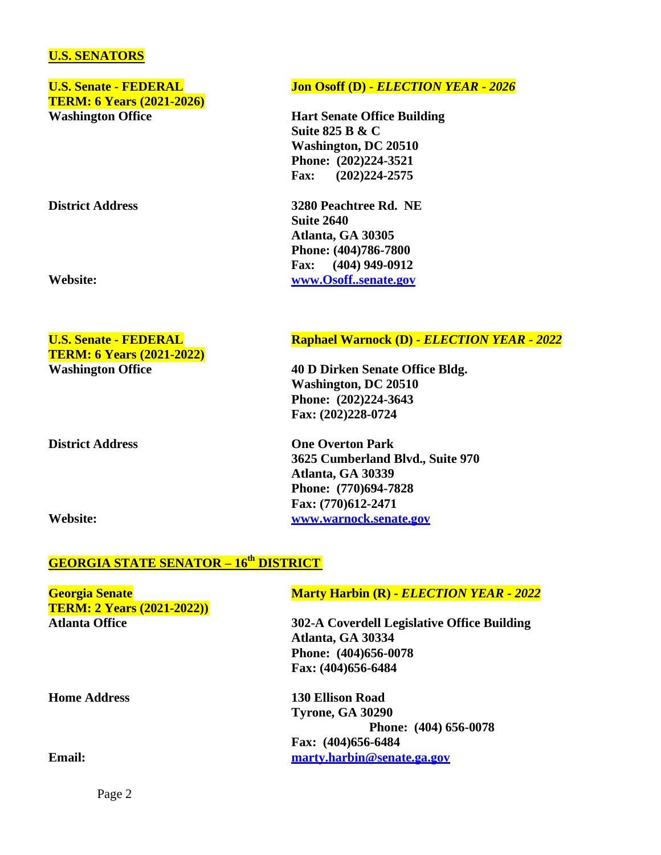### **U.S. SENATORS**

**TERM: 6 Years (2021-2026) Washington Office Hart Senate Office Building**

**TERM: 6 Years (2021-2022)**

**Washington Office 40 D Dirken Senate Office Bldg.**

**District Address One Overton Park**

**Washington, DC 20510 Phone: (202)224-3643 Fax: (202)228-0724**

**3625 Cumberland Blvd., Suite 970 Atlanta, GA 30339 Phone: (770)694-7828 Fax: (770)612-2471 Website: [www.warnock.senate.gov](http://www.warnock.senate.gov/)**

# **GEORGIA STATE SENATOR – 16th DISTRICT**

| <b>Georgia Senate</b><br><b>TERM: 2 Years (2021-2022))</b> | <b>Marty Harbin (R) - ELECTION YEAR - 2022</b> |
|------------------------------------------------------------|------------------------------------------------|
| <b>Atlanta Office</b>                                      | 302-A Coverdell Legislative Office Building    |
|                                                            | Atlanta, GA 30334                              |
|                                                            | Phone: (404)656-0078                           |
|                                                            | Fax: (404)656-6484                             |
| <b>Home Address</b>                                        | <b>130 Ellison Road</b>                        |
|                                                            | <b>Tyrone, GA 30290</b>                        |
|                                                            | Phone: (404) 656-0078                          |
|                                                            | Fax: (404)656-6484                             |
| <b>Email:</b>                                              | marty.harbin@senate.ga.gov                     |
|                                                            |                                                |

Page 2

### **U.S. Senate - FEDERAL Jon Osoff (D) -** *ELECTION YEAR - 2026*

**Suite 825 B & C Washington, DC 20510 Phone: (202)224-3521 Fax: (202)224-2575**

**District Address 3280 Peachtree Rd. NE Suite 2640 Atlanta, GA 30305 Phone: (404)786-7800 Fax: (404) 949-0912 Website: [www.Osoff..senate.gov](http://www.osoff.senate.gov/)**

### **U.S.** Senate - **FEDERAL Raphael Warnock (D)** - *ELECTION YEAR - 2022*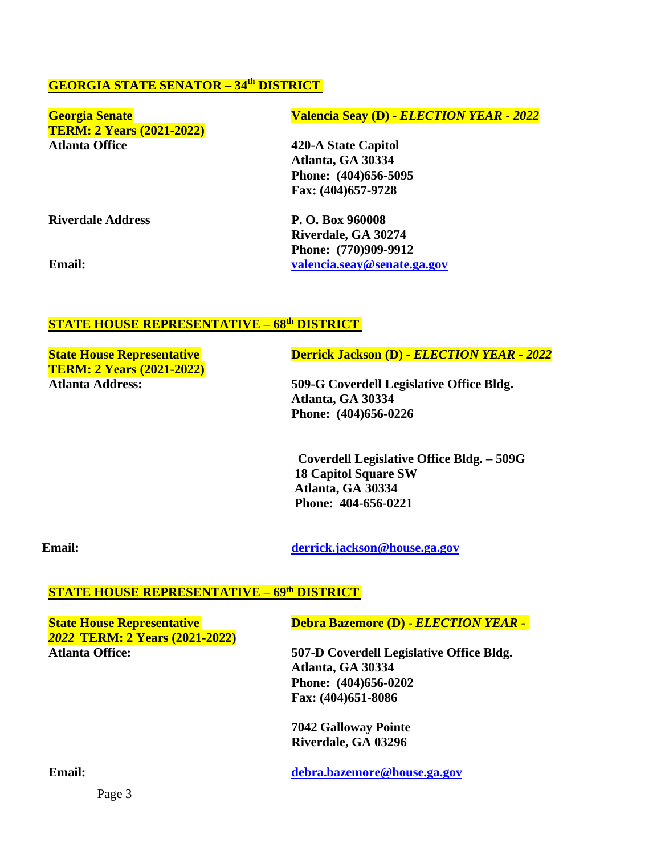## **GEORGIA STATE SENATOR – 34th DISTRICT**

| <b>Georgia Senate</b>            | Valencia Seay (D) - ELECTION YEAR - 2022 |
|----------------------------------|------------------------------------------|
| <b>TERM: 2 Years (2021-2022)</b> |                                          |
| <b>Atlanta Office</b>            | 420-A State Capitol                      |
|                                  | Atlanta, GA 30334                        |
|                                  | Phone: (404)656-5095                     |
|                                  | Fax: (404)657-9728                       |
| <b>Riverdale Address</b>         | P. O. Box 960008                         |
|                                  | Riverdale, GA 30274                      |
|                                  | Phone: (770)909-9912                     |
| <b>Email:</b>                    | valencia.seav@senate.ga.gov              |

### **STATE HOUSE REPRESENTATIVE – 68 th DISTRICT**

**TERM: 2 Years (2021-2022)**

**State House Representative Derrick Jackson (D) -** *ELECTION YEAR* **- 2022** 

**Atlanta Address: 509-G Coverdell Legislative Office Bldg. Atlanta, GA 30334 Phone: (404)656-0226**

> **Coverdell Legislative Office Bldg. – 509G 18 Capitol Square SW Atlanta, GA 30334 Phone: 404-656-0221**

**Email: [derrick.jackson@house.ga.gov](mailto:derrick.jackson@house.ga.gov)**

#### **STATE HOUSE REPRESENTATIVE – 69th DISTRICT**

*2022* **TERM: 2 Years (2021-2022)**

**State House Representative Debra Bazemore (D) -** *ELECTION YEAR -*

**Atlanta Office: 507-D Coverdell Legislative Office Bldg. Atlanta, GA 30334 Phone: (404)656-0202 Fax: (404)651-8086**

> **7042 Galloway Pointe Riverdale, GA 03296**

**Email: [debra.bazemore@house.ga.gov](mailto:debra.bazemore@house.ga.gov)**